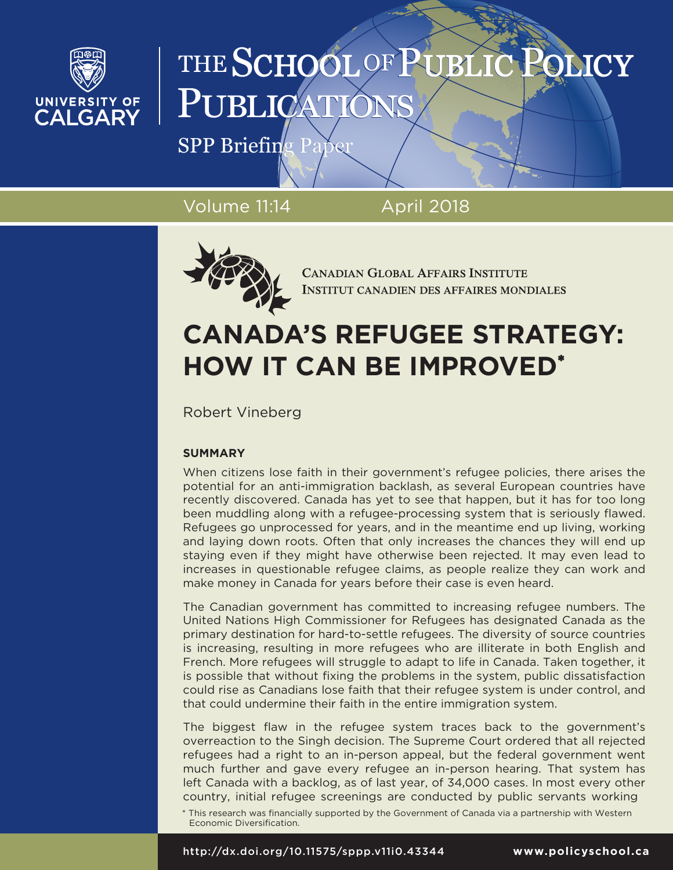

# THE SCHOOL OF PUBLI PUBLICA

SPP Briefing Paper

Volume 11:14 April 2018



**CANADIAN GLOBAL AFFAIRS INSTITUTE INSTITUT CANADIEN DES AFFAIRES MONDIALES** 

# **CANADA'S REFUGEE STRATEGY: HOW IT CAN BE IMPROVED\***

Robert Vineberg

# **SUMMARY**

When citizens lose faith in their government's refugee policies, there arises the potential for an anti-immigration backlash, as several European countries have recently discovered. Canada has yet to see that happen, but it has for too long been muddling along with a refugee-processing system that is seriously flawed. Refugees go unprocessed for years, and in the meantime end up living, working and laying down roots. Often that only increases the chances they will end up staying even if they might have otherwise been rejected. It may even lead to increases in questionable refugee claims, as people realize they can work and make money in Canada for years before their case is even heard.

The Canadian government has committed to increasing refugee numbers. The United Nations High Commissioner for Refugees has designated Canada as the primary destination for hard-to-settle refugees. The diversity of source countries is increasing, resulting in more refugees who are illiterate in both English and French. More refugees will struggle to adapt to life in Canada. Taken together, it is possible that without fixing the problems in the system, public dissatisfaction could rise as Canadians lose faith that their refugee system is under control, and that could undermine their faith in the entire immigration system.

The biggest flaw in the refugee system traces back to the government's overreaction to the Singh decision. The Supreme Court ordered that all rejected refugees had a right to an in-person appeal, but the federal government went much further and gave every refugee an in-person hearing. That system has left Canada with a backlog, as of last year, of 34,000 cases. In most every other country, initial refugee screenings are conducted by public servants working

\* This research was financially supported by the Government of Canada via a partnership with Western Economic Diversification.

http://dx.doi.org/10.11575/sppp.v11i0.43344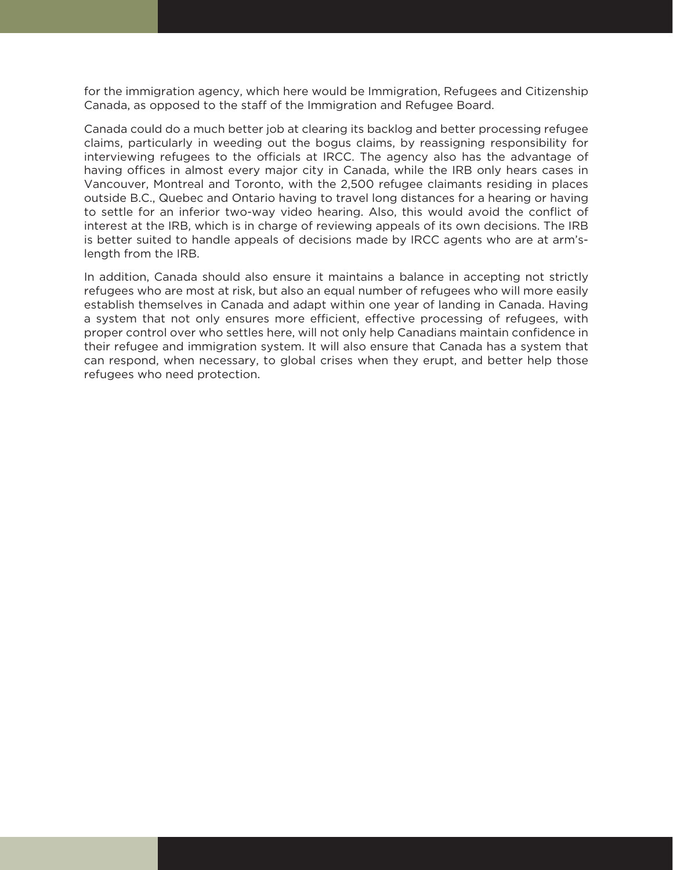for the immigration agency, which here would be Immigration, Refugees and Citizenship Canada, as opposed to the staff of the Immigration and Refugee Board.

Canada could do a much better job at clearing its backlog and better processing refugee claims, particularly in weeding out the bogus claims, by reassigning responsibility for interviewing refugees to the officials at IRCC. The agency also has the advantage of having offices in almost every major city in Canada, while the IRB only hears cases in Vancouver, Montreal and Toronto, with the 2,500 refugee claimants residing in places outside B.C., Quebec and Ontario having to travel long distances for a hearing or having to settle for an inferior two-way video hearing. Also, this would avoid the conflict of interest at the IRB, which is in charge of reviewing appeals of its own decisions. The IRB is better suited to handle appeals of decisions made by IRCC agents who are at arm'slength from the IRB.

In addition, Canada should also ensure it maintains a balance in accepting not strictly refugees who are most at risk, but also an equal number of refugees who will more easily establish themselves in Canada and adapt within one year of landing in Canada. Having a system that not only ensures more efficient, effective processing of refugees, with proper control over who settles here, will not only help Canadians maintain confidence in their refugee and immigration system. It will also ensure that Canada has a system that can respond, when necessary, to global crises when they erupt, and better help those refugees who need protection.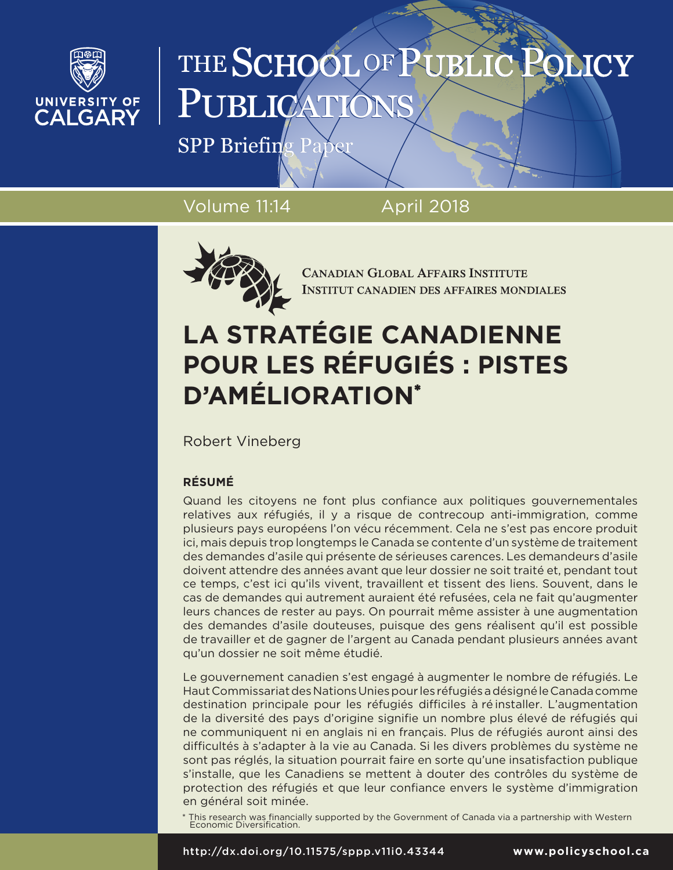

# THE SCHOOL OF PUBL IMCY PUBLICA

SPP Briefing Pap

Volume 11:14 April 2018



**CANADIAN GLOBAL AFFAIRS INSTITUTE INSTITUT CANADIEN DES AFFAIRES MONDIALES** 

# **LA STRATÉGIE CANADIENNE POUR LES RÉFUGIÉS : PISTES D'AMÉLIORATION\***

Robert Vineberg

# **RÉSUMÉ**

Quand les citoyens ne font plus confiance aux politiques gouvernementales relatives aux réfugiés, il y a risque de contrecoup anti-immigration, comme plusieurs pays européens l'on vécu récemment. Cela ne s'est pas encore produit ici, mais depuis trop longtemps le Canada se contente d'un système de traitement des demandes d'asile qui présente de sérieuses carences. Les demandeurs d'asile doivent attendre des années avant que leur dossier ne soit traité et, pendant tout ce temps, c'est ici qu'ils vivent, travaillent et tissent des liens. Souvent, dans le cas de demandes qui autrement auraient été refusées, cela ne fait qu'augmenter leurs chances de rester au pays. On pourrait même assister à une augmentation des demandes d'asile douteuses, puisque des gens réalisent qu'il est possible de travailler et de gagner de l'argent au Canada pendant plusieurs années avant qu'un dossier ne soit même étudié.

Le gouvernement canadien s'est engagé à augmenter le nombre de réfugiés. Le Haut Commissariat des Nations Unies pour les réfugiés a désigné le Canada comme destination principale pour les réfugiés difficiles à ré installer. L'augmentation de la diversité des pays d'origine signifie un nombre plus élevé de réfugiés qui ne communiquent ni en anglais ni en français. Plus de réfugiés auront ainsi des difficultés à s'adapter à la vie au Canada. Si les divers problèmes du système ne sont pas réglés, la situation pourrait faire en sorte qu'une insatisfaction publique s'installe, que les Canadiens se mettent à douter des contrôles du système de protection des réfugiés et que leur confiance envers le système d'immigration en général soit minée.

\* This research was financially supported by the Government of Canada via a partnership with Western Economic Diversification.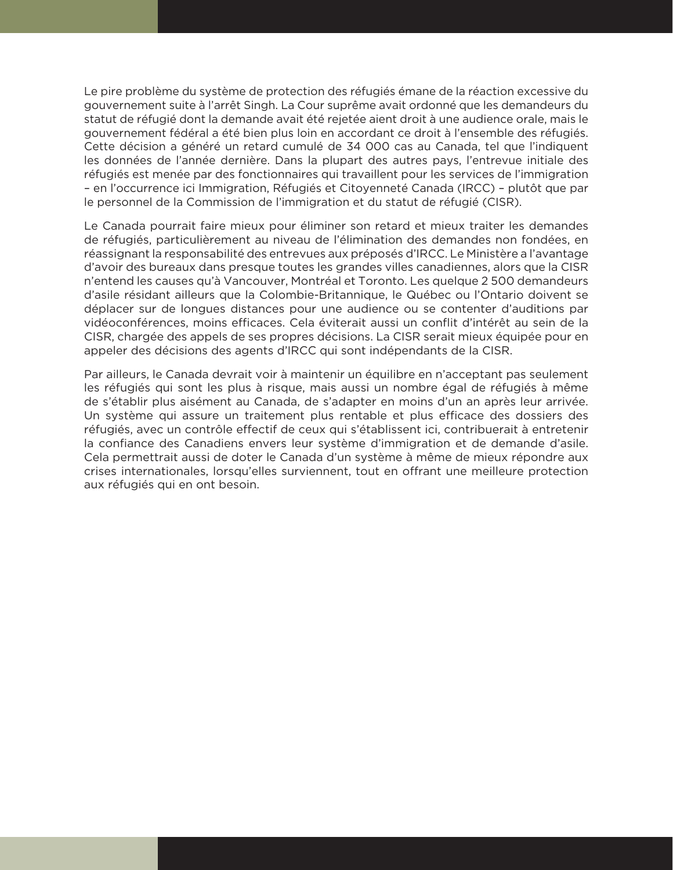Le pire problème du système de protection des réfugiés émane de la réaction excessive du gouvernement suite à l'arrêt Singh. La Cour suprême avait ordonné que les demandeurs du statut de réfugié dont la demande avait été rejetée aient droit à une audience orale, mais le gouvernement fédéral a été bien plus loin en accordant ce droit à l'ensemble des réfugiés. Cette décision a généré un retard cumulé de 34 000 cas au Canada, tel que l'indiquent les données de l'année dernière. Dans la plupart des autres pays, l'entrevue initiale des réfugiés est menée par des fonctionnaires qui travaillent pour les services de l'immigration – en l'occurrence ici Immigration, Réfugiés et Citoyenneté Canada (IRCC) – plutôt que par le personnel de la Commission de l'immigration et du statut de réfugié (CISR).

Le Canada pourrait faire mieux pour éliminer son retard et mieux traiter les demandes de réfugiés, particulièrement au niveau de l'élimination des demandes non fondées, en réassignant la responsabilité des entrevues aux préposés d'IRCC. Le Ministère a l'avantage d'avoir des bureaux dans presque toutes les grandes villes canadiennes, alors que la CISR n'entend les causes qu'à Vancouver, Montréal et Toronto. Les quelque 2 500 demandeurs d'asile résidant ailleurs que la Colombie-Britannique, le Québec ou l'Ontario doivent se déplacer sur de longues distances pour une audience ou se contenter d'auditions par vidéoconférences, moins efficaces. Cela éviterait aussi un conflit d'intérêt au sein de la CISR, chargée des appels de ses propres décisions. La CISR serait mieux équipée pour en appeler des décisions des agents d'IRCC qui sont indépendants de la CISR.

Par ailleurs, le Canada devrait voir à maintenir un équilibre en n'acceptant pas seulement les réfugiés qui sont les plus à risque, mais aussi un nombre égal de réfugiés à même de s'établir plus aisément au Canada, de s'adapter en moins d'un an après leur arrivée. Un système qui assure un traitement plus rentable et plus efficace des dossiers des réfugiés, avec un contrôle effectif de ceux qui s'établissent ici, contribuerait à entretenir la confiance des Canadiens envers leur système d'immigration et de demande d'asile. Cela permettrait aussi de doter le Canada d'un système à même de mieux répondre aux crises internationales, lorsqu'elles surviennent, tout en offrant une meilleure protection aux réfugiés qui en ont besoin.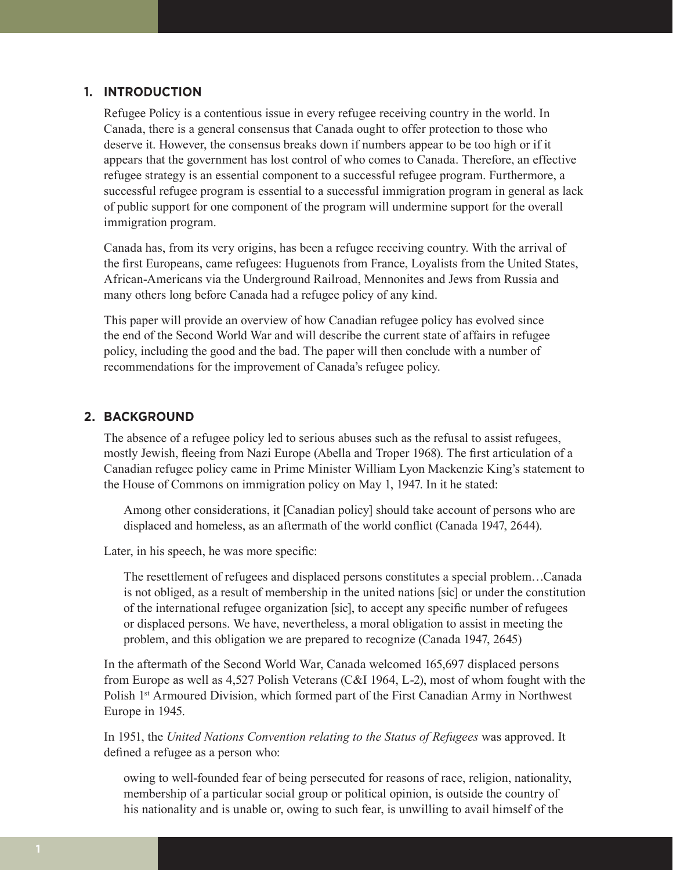#### **1. INTRODUCTION**

Refugee Policy is a contentious issue in every refugee receiving country in the world. In Canada, there is a general consensus that Canada ought to offer protection to those who deserve it. However, the consensus breaks down if numbers appear to be too high or if it appears that the government has lost control of who comes to Canada. Therefore, an effective refugee strategy is an essential component to a successful refugee program. Furthermore, a successful refugee program is essential to a successful immigration program in general as lack of public support for one component of the program will undermine support for the overall immigration program.

Canada has, from its very origins, has been a refugee receiving country. With the arrival of the first Europeans, came refugees: Huguenots from France, Loyalists from the United States, African-Americans via the Underground Railroad, Mennonites and Jews from Russia and many others long before Canada had a refugee policy of any kind.

This paper will provide an overview of how Canadian refugee policy has evolved since the end of the Second World War and will describe the current state of affairs in refugee policy, including the good and the bad. The paper will then conclude with a number of recommendations for the improvement of Canada's refugee policy.

### **2. BACKGROUND**

The absence of a refugee policy led to serious abuses such as the refusal to assist refugees, mostly Jewish, fleeing from Nazi Europe (Abella and Troper 1968). The first articulation of a Canadian refugee policy came in Prime Minister William Lyon Mackenzie King's statement to the House of Commons on immigration policy on May 1, 1947. In it he stated:

Among other considerations, it [Canadian policy] should take account of persons who are displaced and homeless, as an aftermath of the world conflict (Canada 1947, 2644).

Later, in his speech, he was more specific:

The resettlement of refugees and displaced persons constitutes a special problem…Canada is not obliged, as a result of membership in the united nations [sic] or under the constitution of the international refugee organization [sic], to accept any specific number of refugees or displaced persons. We have, nevertheless, a moral obligation to assist in meeting the problem, and this obligation we are prepared to recognize (Canada 1947, 2645)

In the aftermath of the Second World War, Canada welcomed 165,697 displaced persons from Europe as well as 4,527 Polish Veterans (C&I 1964, L-2), most of whom fought with the Polish 1<sup>st</sup> Armoured Division, which formed part of the First Canadian Army in Northwest Europe in 1945.

In 1951, the *United Nations Convention relating to the Status of Refugees* was approved. It defined a refugee as a person who:

owing to well-founded fear of being persecuted for reasons of race, religion, nationality, membership of a particular social group or political opinion, is outside the country of his nationality and is unable or, owing to such fear, is unwilling to avail himself of the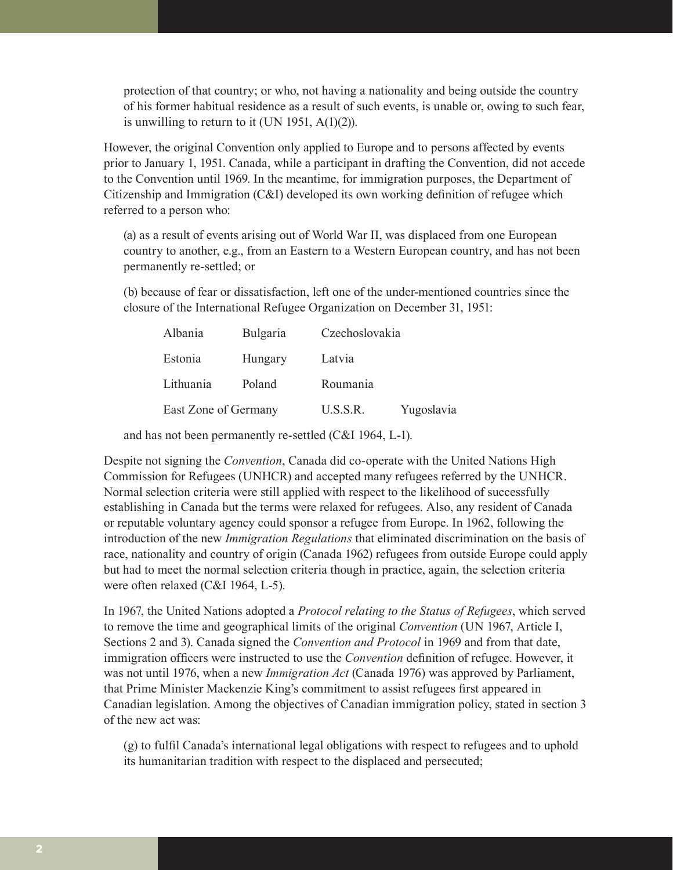protection of that country; or who, not having a nationality and being outside the country of his former habitual residence as a result of such events, is unable or, owing to such fear, is unwilling to return to it (UN 1951, A(1)(2)).

However, the original Convention only applied to Europe and to persons affected by events prior to January 1, 1951. Canada, while a participant in drafting the Convention, did not accede to the Convention until 1969. In the meantime, for immigration purposes, the Department of Citizenship and Immigration (C&I) developed its own working definition of refugee which referred to a person who:

(a) as a result of events arising out of World War II, was displaced from one European country to another, e.g., from an Eastern to a Western European country, and has not been permanently re-settled; or

(b) because of fear or dissatisfaction, left one of the under-mentioned countries since the closure of the International Refugee Organization on December 31, 1951:

| Albania              | Bulgaria | Czechoslovakia |            |
|----------------------|----------|----------------|------------|
| Estonia              | Hungary  | Latvia         |            |
| Lithuania            | Poland   | Roumania       |            |
| East Zone of Germany |          | U.S.S.R.       | Yugoslavia |

and has not been permanently re-settled (C&I 1964, L-1).

Despite not signing the *Convention*, Canada did co-operate with the United Nations High Commission for Refugees (UNHCR) and accepted many refugees referred by the UNHCR. Normal selection criteria were still applied with respect to the likelihood of successfully establishing in Canada but the terms were relaxed for refugees. Also, any resident of Canada or reputable voluntary agency could sponsor a refugee from Europe. In 1962, following the introduction of the new *Immigration Regulations* that eliminated discrimination on the basis of race, nationality and country of origin (Canada 1962) refugees from outside Europe could apply but had to meet the normal selection criteria though in practice, again, the selection criteria were often relaxed (C&I 1964, L-5).

In 1967, the United Nations adopted a *Protocol relating to the Status of Refugees*, which served to remove the time and geographical limits of the original *Convention* (UN 1967, Article I, Sections 2 and 3). Canada signed the *Convention and Protocol* in 1969 and from that date, immigration officers were instructed to use the *Convention* definition of refugee. However, it was not until 1976, when a new *Immigration Act* (Canada 1976) was approved by Parliament, that Prime Minister Mackenzie King's commitment to assist refugees first appeared in Canadian legislation. Among the objectives of Canadian immigration policy, stated in section 3 of the new act was:

(g) to fulfil Canada's international legal obligations with respect to refugees and to uphold its humanitarian tradition with respect to the displaced and persecuted;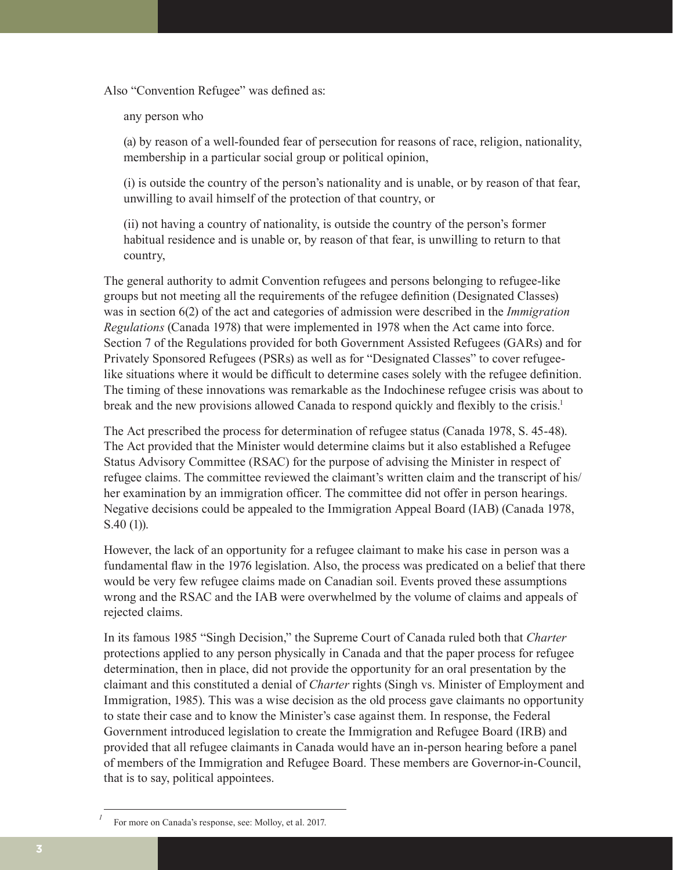Also "Convention Refugee" was defined as:

any person who

(a) by reason of a well-founded fear of persecution for reasons of race, religion, nationality, membership in a particular social group or political opinion,

(i) is outside the country of the person's nationality and is unable, or by reason of that fear, unwilling to avail himself of the protection of that country, or

(ii) not having a country of nationality, is outside the country of the person's former habitual residence and is unable or, by reason of that fear, is unwilling to return to that country,

The general authority to admit Convention refugees and persons belonging to refugee-like groups but not meeting all the requirements of the refugee definition (Designated Classes) was in section 6(2) of the act and categories of admission were described in the *Immigration Regulations* (Canada 1978) that were implemented in 1978 when the Act came into force. Section 7 of the Regulations provided for both Government Assisted Refugees (GARs) and for Privately Sponsored Refugees (PSRs) as well as for "Designated Classes" to cover refugeelike situations where it would be difficult to determine cases solely with the refugee definition. The timing of these innovations was remarkable as the Indochinese refugee crisis was about to break and the new provisions allowed Canada to respond quickly and flexibly to the crisis.1

The Act prescribed the process for determination of refugee status (Canada 1978, S. 45-48). The Act provided that the Minister would determine claims but it also established a Refugee Status Advisory Committee (RSAC) for the purpose of advising the Minister in respect of refugee claims. The committee reviewed the claimant's written claim and the transcript of his/ her examination by an immigration officer. The committee did not offer in person hearings. Negative decisions could be appealed to the Immigration Appeal Board (IAB) (Canada 1978, S.40 (1)).

However, the lack of an opportunity for a refugee claimant to make his case in person was a fundamental flaw in the 1976 legislation. Also, the process was predicated on a belief that there would be very few refugee claims made on Canadian soil. Events proved these assumptions wrong and the RSAC and the IAB were overwhelmed by the volume of claims and appeals of rejected claims.

In its famous 1985 "Singh Decision," the Supreme Court of Canada ruled both that *Charter*  protections applied to any person physically in Canada and that the paper process for refugee determination, then in place, did not provide the opportunity for an oral presentation by the claimant and this constituted a denial of *Charter* rights (Singh vs. Minister of Employment and Immigration, 1985). This was a wise decision as the old process gave claimants no opportunity to state their case and to know the Minister's case against them. In response, the Federal Government introduced legislation to create the Immigration and Refugee Board (IRB) and provided that all refugee claimants in Canada would have an in-person hearing before a panel of members of the Immigration and Refugee Board. These members are Governor-in-Council, that is to say, political appointees.

For more on Canada's response, see: Molloy, et al. 2017.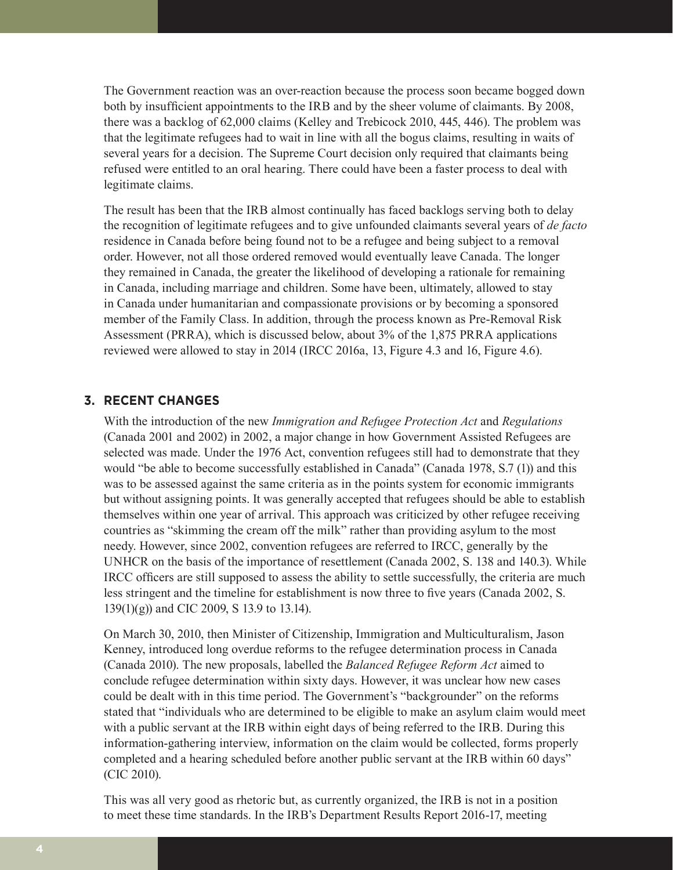The Government reaction was an over-reaction because the process soon became bogged down both by insufficient appointments to the IRB and by the sheer volume of claimants. By 2008, there was a backlog of 62,000 claims (Kelley and Trebicock 2010, 445, 446). The problem was that the legitimate refugees had to wait in line with all the bogus claims, resulting in waits of several years for a decision. The Supreme Court decision only required that claimants being refused were entitled to an oral hearing. There could have been a faster process to deal with legitimate claims.

The result has been that the IRB almost continually has faced backlogs serving both to delay the recognition of legitimate refugees and to give unfounded claimants several years of *de facto* residence in Canada before being found not to be a refugee and being subject to a removal order. However, not all those ordered removed would eventually leave Canada. The longer they remained in Canada, the greater the likelihood of developing a rationale for remaining in Canada, including marriage and children. Some have been, ultimately, allowed to stay in Canada under humanitarian and compassionate provisions or by becoming a sponsored member of the Family Class. In addition, through the process known as Pre-Removal Risk Assessment (PRRA), which is discussed below, about 3% of the 1,875 PRRA applications reviewed were allowed to stay in 2014 (IRCC 2016a, 13, Figure 4.3 and 16, Figure 4.6).

#### **3. RECENT CHANGES**

With the introduction of the new *Immigration and Refugee Protection Act* and *Regulations* (Canada 2001 and 2002) in 2002, a major change in how Government Assisted Refugees are selected was made. Under the 1976 Act, convention refugees still had to demonstrate that they would "be able to become successfully established in Canada" (Canada 1978, S.7 (1)) and this was to be assessed against the same criteria as in the points system for economic immigrants but without assigning points. It was generally accepted that refugees should be able to establish themselves within one year of arrival. This approach was criticized by other refugee receiving countries as "skimming the cream off the milk" rather than providing asylum to the most needy. However, since 2002, convention refugees are referred to IRCC, generally by the UNHCR on the basis of the importance of resettlement (Canada 2002, S. 138 and 140.3). While IRCC officers are still supposed to assess the ability to settle successfully, the criteria are much less stringent and the timeline for establishment is now three to five years (Canada 2002, S. 139(1)(g)) and CIC 2009, S 13.9 to 13.14).

On March 30, 2010, then Minister of Citizenship, Immigration and Multiculturalism, Jason Kenney, introduced long overdue reforms to the refugee determination process in Canada (Canada 2010). The new proposals, labelled the *Balanced Refugee Reform Act* aimed to conclude refugee determination within sixty days. However, it was unclear how new cases could be dealt with in this time period. The Government's "backgrounder" on the reforms stated that "individuals who are determined to be eligible to make an asylum claim would meet with a public servant at the IRB within eight days of being referred to the IRB. During this information-gathering interview, information on the claim would be collected, forms properly completed and a hearing scheduled before another public servant at the IRB within 60 days" (CIC 2010).

This was all very good as rhetoric but, as currently organized, the IRB is not in a position to meet these time standards. In the IRB's Department Results Report 2016-17, meeting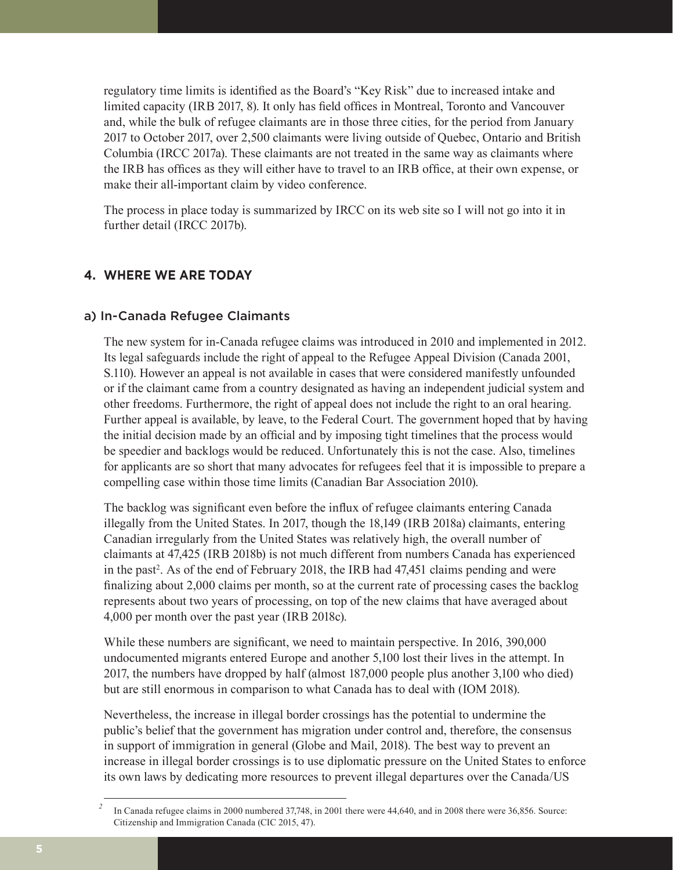regulatory time limits is identified as the Board's "Key Risk" due to increased intake and limited capacity (IRB 2017, 8). It only has field offices in Montreal, Toronto and Vancouver and, while the bulk of refugee claimants are in those three cities, for the period from January 2017 to October 2017, over 2,500 claimants were living outside of Quebec, Ontario and British Columbia (IRCC 2017a). These claimants are not treated in the same way as claimants where the IRB has offices as they will either have to travel to an IRB office, at their own expense, or make their all-important claim by video conference.

The process in place today is summarized by IRCC on its web site so I will not go into it in further detail (IRCC 2017b).

# **4. WHERE WE ARE TODAY**

#### a) In-Canada Refugee Claimants

The new system for in-Canada refugee claims was introduced in 2010 and implemented in 2012. Its legal safeguards include the right of appeal to the Refugee Appeal Division (Canada 2001, S.110). However an appeal is not available in cases that were considered manifestly unfounded or if the claimant came from a country designated as having an independent judicial system and other freedoms. Furthermore, the right of appeal does not include the right to an oral hearing. Further appeal is available, by leave, to the Federal Court. The government hoped that by having the initial decision made by an official and by imposing tight timelines that the process would be speedier and backlogs would be reduced. Unfortunately this is not the case. Also, timelines for applicants are so short that many advocates for refugees feel that it is impossible to prepare a compelling case within those time limits (Canadian Bar Association 2010).

The backlog was significant even before the influx of refugee claimants entering Canada illegally from the United States. In 2017, though the 18,149 (IRB 2018a) claimants, entering Canadian irregularly from the United States was relatively high, the overall number of claimants at 47,425 (IRB 2018b) is not much different from numbers Canada has experienced in the past<sup>2</sup>. As of the end of February 2018, the IRB had 47,451 claims pending and were finalizing about 2,000 claims per month, so at the current rate of processing cases the backlog represents about two years of processing, on top of the new claims that have averaged about 4,000 per month over the past year (IRB 2018c).

While these numbers are significant, we need to maintain perspective. In 2016, 390,000 undocumented migrants entered Europe and another 5,100 lost their lives in the attempt. In 2017, the numbers have dropped by half (almost 187,000 people plus another 3,100 who died) but are still enormous in comparison to what Canada has to deal with (IOM 2018).

Nevertheless, the increase in illegal border crossings has the potential to undermine the public's belief that the government has migration under control and, therefore, the consensus in support of immigration in general (Globe and Mail, 2018). The best way to prevent an increase in illegal border crossings is to use diplomatic pressure on the United States to enforce its own laws by dedicating more resources to prevent illegal departures over the Canada/US

*<sup>2</sup>* In Canada refugee claims in 2000 numbered 37,748, in 2001 there were 44,640, and in 2008 there were 36,856. Source: Citizenship and Immigration Canada (CIC 2015, 47).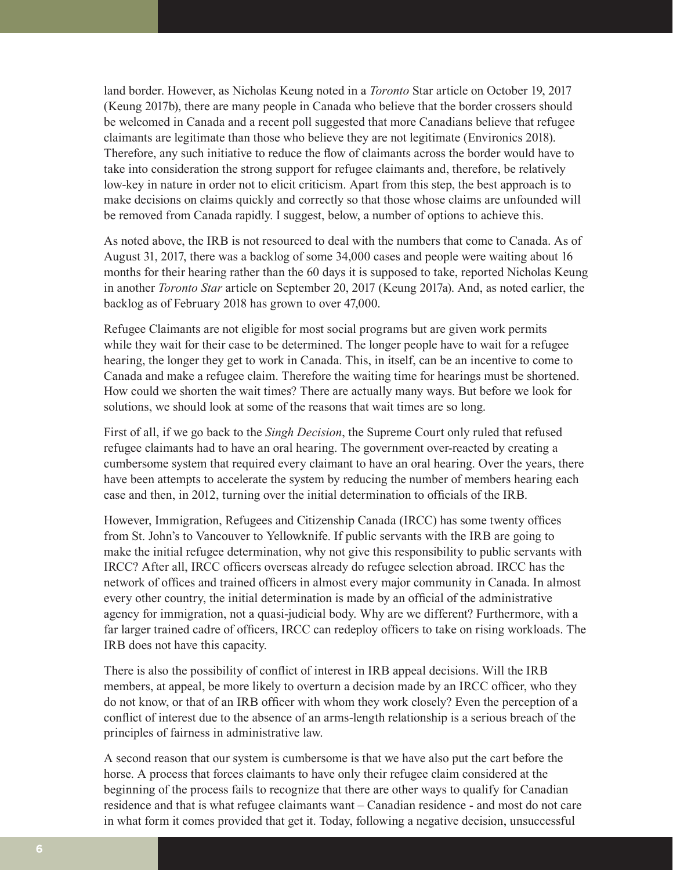land border. However, as Nicholas Keung noted in a *Toronto* Star article on October 19, 2017 (Keung 2017b), there are many people in Canada who believe that the border crossers should be welcomed in Canada and a recent poll suggested that more Canadians believe that refugee claimants are legitimate than those who believe they are not legitimate (Environics 2018). Therefore, any such initiative to reduce the flow of claimants across the border would have to take into consideration the strong support for refugee claimants and, therefore, be relatively low-key in nature in order not to elicit criticism. Apart from this step, the best approach is to make decisions on claims quickly and correctly so that those whose claims are unfounded will be removed from Canada rapidly. I suggest, below, a number of options to achieve this.

As noted above, the IRB is not resourced to deal with the numbers that come to Canada. As of August 31, 2017, there was a backlog of some 34,000 cases and people were waiting about 16 months for their hearing rather than the 60 days it is supposed to take, reported Nicholas Keung in another *Toronto Star* article on September 20, 2017 (Keung 2017a). And, as noted earlier, the backlog as of February 2018 has grown to over 47,000.

Refugee Claimants are not eligible for most social programs but are given work permits while they wait for their case to be determined. The longer people have to wait for a refugee hearing, the longer they get to work in Canada. This, in itself, can be an incentive to come to Canada and make a refugee claim. Therefore the waiting time for hearings must be shortened. How could we shorten the wait times? There are actually many ways. But before we look for solutions, we should look at some of the reasons that wait times are so long.

First of all, if we go back to the *Singh Decision*, the Supreme Court only ruled that refused refugee claimants had to have an oral hearing. The government over-reacted by creating a cumbersome system that required every claimant to have an oral hearing. Over the years, there have been attempts to accelerate the system by reducing the number of members hearing each case and then, in 2012, turning over the initial determination to officials of the IRB.

However, Immigration, Refugees and Citizenship Canada (IRCC) has some twenty offices from St. John's to Vancouver to Yellowknife. If public servants with the IRB are going to make the initial refugee determination, why not give this responsibility to public servants with IRCC? After all, IRCC officers overseas already do refugee selection abroad. IRCC has the network of offices and trained officers in almost every major community in Canada. In almost every other country, the initial determination is made by an official of the administrative agency for immigration, not a quasi-judicial body. Why are we different? Furthermore, with a far larger trained cadre of officers, IRCC can redeploy officers to take on rising workloads. The IRB does not have this capacity.

There is also the possibility of conflict of interest in IRB appeal decisions. Will the IRB members, at appeal, be more likely to overturn a decision made by an IRCC officer, who they do not know, or that of an IRB officer with whom they work closely? Even the perception of a conflict of interest due to the absence of an arms-length relationship is a serious breach of the principles of fairness in administrative law.

A second reason that our system is cumbersome is that we have also put the cart before the horse. A process that forces claimants to have only their refugee claim considered at the beginning of the process fails to recognize that there are other ways to qualify for Canadian residence and that is what refugee claimants want – Canadian residence - and most do not care in what form it comes provided that get it. Today, following a negative decision, unsuccessful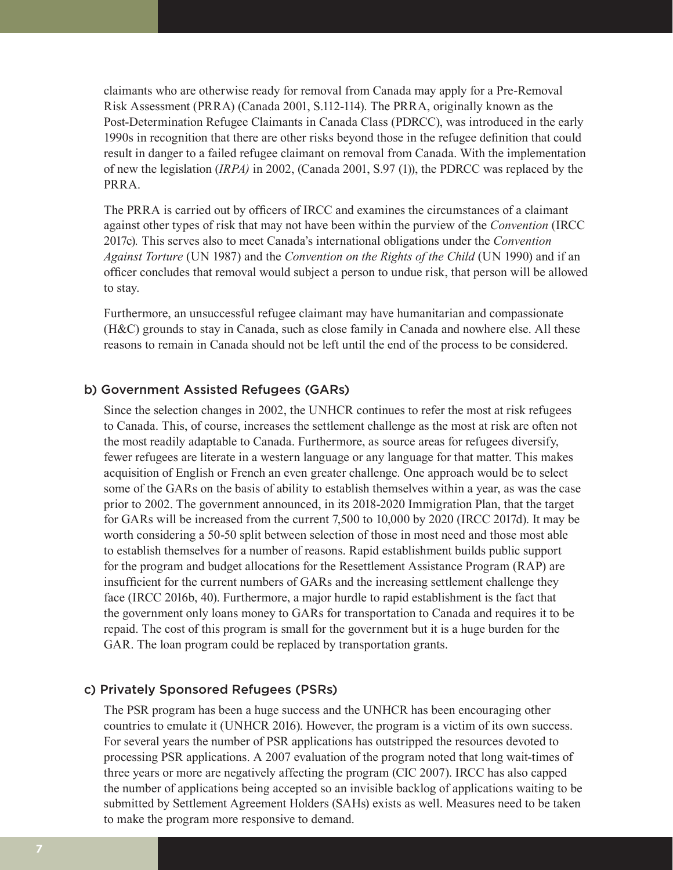claimants who are otherwise ready for removal from Canada may apply for a Pre-Removal Risk Assessment (PRRA) (Canada 2001, S.112-114). The PRRA, originally known as the Post-Determination Refugee Claimants in Canada Class (PDRCC), was introduced in the early 1990s in recognition that there are other risks beyond those in the refugee definition that could result in danger to a failed refugee claimant on removal from Canada. With the implementation of new the legislation (*IRPA)* in 2002, (Canada 2001, S.97 (1)), the PDRCC was replaced by the PRRA.

The PRRA is carried out by officers of IRCC and examines the circumstances of a claimant against other types of risk that may not have been within the purview of the *Convention* (IRCC 2017c)*.* This serves also to meet Canada's international obligations under the *Convention Against Torture* (UN 1987) and the *Convention on the Rights of the Child* (UN 1990) and if an officer concludes that removal would subject a person to undue risk, that person will be allowed to stay.

Furthermore, an unsuccessful refugee claimant may have humanitarian and compassionate (H&C) grounds to stay in Canada, such as close family in Canada and nowhere else. All these reasons to remain in Canada should not be left until the end of the process to be considered.

#### b) Government Assisted Refugees (GARs)

Since the selection changes in 2002, the UNHCR continues to refer the most at risk refugees to Canada. This, of course, increases the settlement challenge as the most at risk are often not the most readily adaptable to Canada. Furthermore, as source areas for refugees diversify, fewer refugees are literate in a western language or any language for that matter. This makes acquisition of English or French an even greater challenge. One approach would be to select some of the GARs on the basis of ability to establish themselves within a year, as was the case prior to 2002. The government announced, in its 2018-2020 Immigration Plan, that the target for GARs will be increased from the current 7,500 to 10,000 by 2020 (IRCC 2017d). It may be worth considering a 50-50 split between selection of those in most need and those most able to establish themselves for a number of reasons. Rapid establishment builds public support for the program and budget allocations for the Resettlement Assistance Program (RAP) are insufficient for the current numbers of GARs and the increasing settlement challenge they face (IRCC 2016b, 40). Furthermore, a major hurdle to rapid establishment is the fact that the government only loans money to GARs for transportation to Canada and requires it to be repaid. The cost of this program is small for the government but it is a huge burden for the GAR. The loan program could be replaced by transportation grants.

#### c) Privately Sponsored Refugees (PSRs)

The PSR program has been a huge success and the UNHCR has been encouraging other countries to emulate it (UNHCR 2016). However, the program is a victim of its own success. For several years the number of PSR applications has outstripped the resources devoted to processing PSR applications. A 2007 evaluation of the program noted that long wait-times of three years or more are negatively affecting the program (CIC 2007). IRCC has also capped the number of applications being accepted so an invisible backlog of applications waiting to be submitted by Settlement Agreement Holders (SAHs) exists as well. Measures need to be taken to make the program more responsive to demand.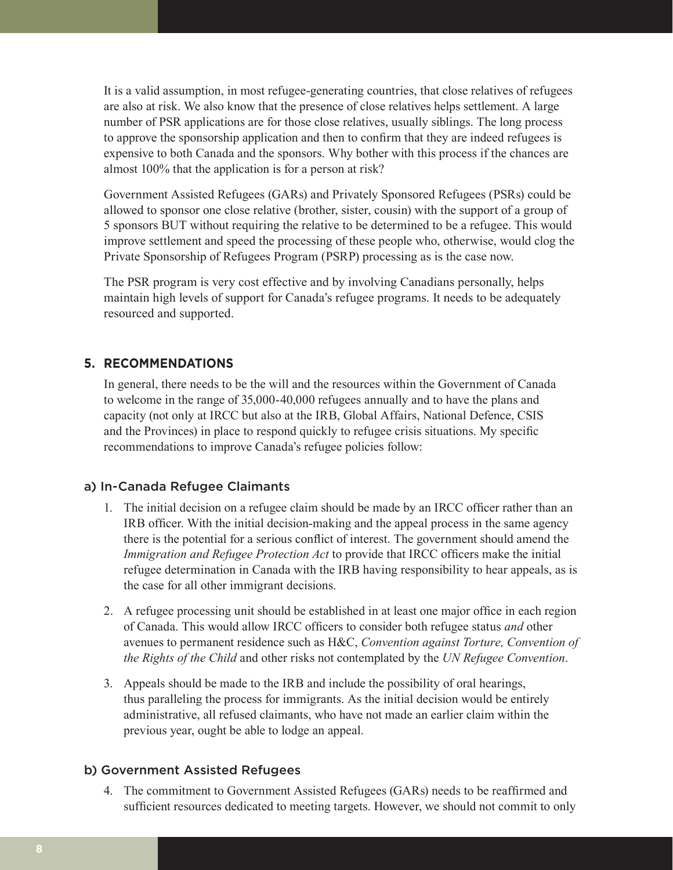It is a valid assumption, in most refugee-generating countries, that close relatives of refugees are also at risk. We also know that the presence of close relatives helps settlement. A large number of PSR applications are for those close relatives, usually siblings. The long process to approve the sponsorship application and then to confirm that they are indeed refugees is expensive to both Canada and the sponsors. Why bother with this process if the chances are almost 100% that the application is for a person at risk?

Government Assisted Refugees (GARs) and Privately Sponsored Refugees (PSRs) could be allowed to sponsor one close relative (brother, sister, cousin) with the support of a group of 5 sponsors BUT without requiring the relative to be determined to be a refugee. This would improve settlement and speed the processing of these people who, otherwise, would clog the Private Sponsorship of Refugees Program (PSRP) processing as is the case now.

The PSR program is very cost effective and by involving Canadians personally, helps maintain high levels of support for Canada's refugee programs. It needs to be adequately resourced and supported.

# **5. RECOMMENDATIONS**

In general, there needs to be the will and the resources within the Government of Canada to welcome in the range of 35,000-40,000 refugees annually and to have the plans and capacity (not only at IRCC but also at the IRB, Global Affairs, National Defence, CSIS and the Provinces) in place to respond quickly to refugee crisis situations. My specific recommendations to improve Canada's refugee policies follow:

# a) In-Canada Refugee Claimants

- 1. The initial decision on a refugee claim should be made by an IRCC officer rather than an IRB officer. With the initial decision-making and the appeal process in the same agency there is the potential for a serious conflict of interest. The government should amend the *Immigration and Refugee Protection Act* to provide that IRCC officers make the initial refugee determination in Canada with the IRB having responsibility to hear appeals, as is the case for all other immigrant decisions.
- 2. A refugee processing unit should be established in at least one major office in each region of Canada. This would allow IRCC officers to consider both refugee status *and* other avenues to permanent residence such as H&C, *Convention against Torture, Convention of the Rights of the Child* and other risks not contemplated by the *UN Refugee Convention*.
- 3. Appeals should be made to the IRB and include the possibility of oral hearings, thus paralleling the process for immigrants. As the initial decision would be entirely administrative, all refused claimants, who have not made an earlier claim within the previous year, ought be able to lodge an appeal.

# b) Government Assisted Refugees

4. The commitment to Government Assisted Refugees (GARs) needs to be reaffirmed and sufficient resources dedicated to meeting targets. However, we should not commit to only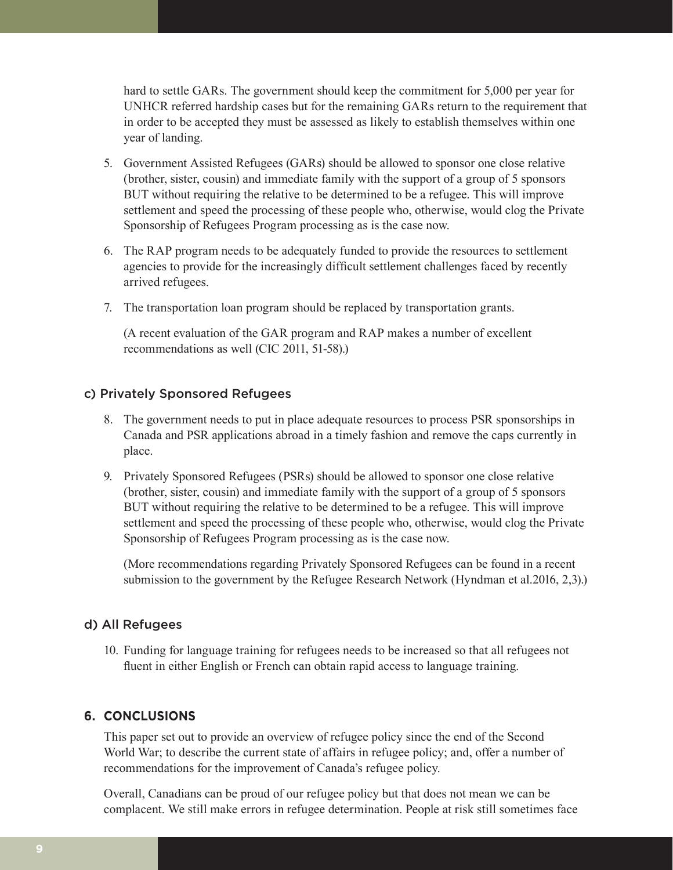hard to settle GARs. The government should keep the commitment for 5,000 per year for UNHCR referred hardship cases but for the remaining GARs return to the requirement that in order to be accepted they must be assessed as likely to establish themselves within one year of landing.

- 5. Government Assisted Refugees (GARs) should be allowed to sponsor one close relative (brother, sister, cousin) and immediate family with the support of a group of 5 sponsors BUT without requiring the relative to be determined to be a refugee. This will improve settlement and speed the processing of these people who, otherwise, would clog the Private Sponsorship of Refugees Program processing as is the case now.
- 6. The RAP program needs to be adequately funded to provide the resources to settlement agencies to provide for the increasingly difficult settlement challenges faced by recently arrived refugees.
- 7. The transportation loan program should be replaced by transportation grants.

(A recent evaluation of the GAR program and RAP makes a number of excellent recommendations as well (CIC 2011, 51-58).)

#### c) Privately Sponsored Refugees

- 8. The government needs to put in place adequate resources to process PSR sponsorships in Canada and PSR applications abroad in a timely fashion and remove the caps currently in place.
- 9. Privately Sponsored Refugees (PSRs) should be allowed to sponsor one close relative (brother, sister, cousin) and immediate family with the support of a group of 5 sponsors BUT without requiring the relative to be determined to be a refugee. This will improve settlement and speed the processing of these people who, otherwise, would clog the Private Sponsorship of Refugees Program processing as is the case now.

(More recommendations regarding Privately Sponsored Refugees can be found in a recent submission to the government by the Refugee Research Network (Hyndman et al.2016, 2,3).)

#### d) All Refugees

10. Funding for language training for refugees needs to be increased so that all refugees not fluent in either English or French can obtain rapid access to language training.

### **6. CONCLUSIONS**

This paper set out to provide an overview of refugee policy since the end of the Second World War; to describe the current state of affairs in refugee policy; and, offer a number of recommendations for the improvement of Canada's refugee policy.

Overall, Canadians can be proud of our refugee policy but that does not mean we can be complacent. We still make errors in refugee determination. People at risk still sometimes face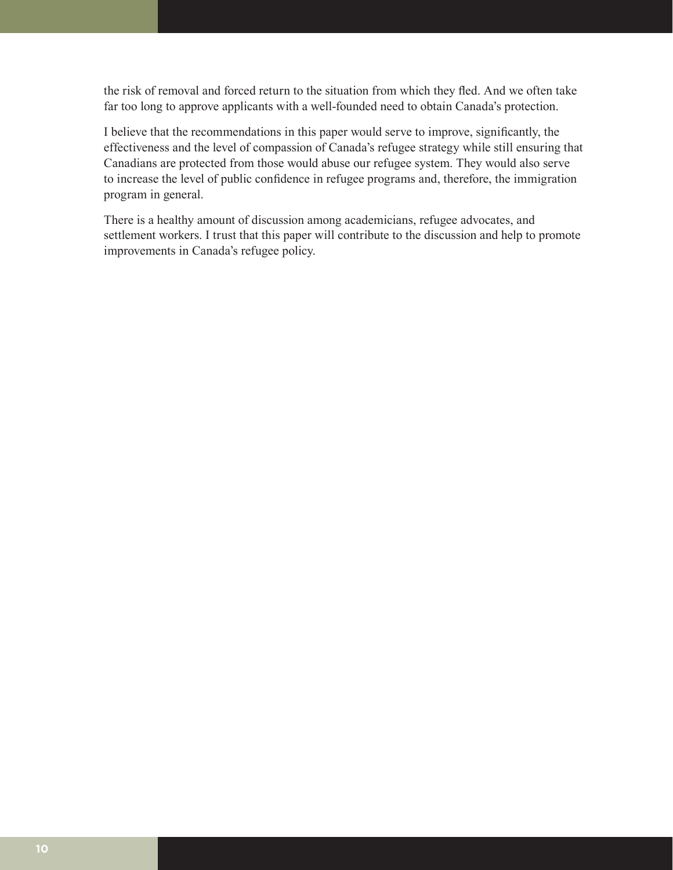the risk of removal and forced return to the situation from which they fled. And we often take far too long to approve applicants with a well-founded need to obtain Canada's protection.

I believe that the recommendations in this paper would serve to improve, significantly, the effectiveness and the level of compassion of Canada's refugee strategy while still ensuring that Canadians are protected from those would abuse our refugee system. They would also serve to increase the level of public confidence in refugee programs and, therefore, the immigration program in general.

There is a healthy amount of discussion among academicians, refugee advocates, and settlement workers. I trust that this paper will contribute to the discussion and help to promote improvements in Canada's refugee policy.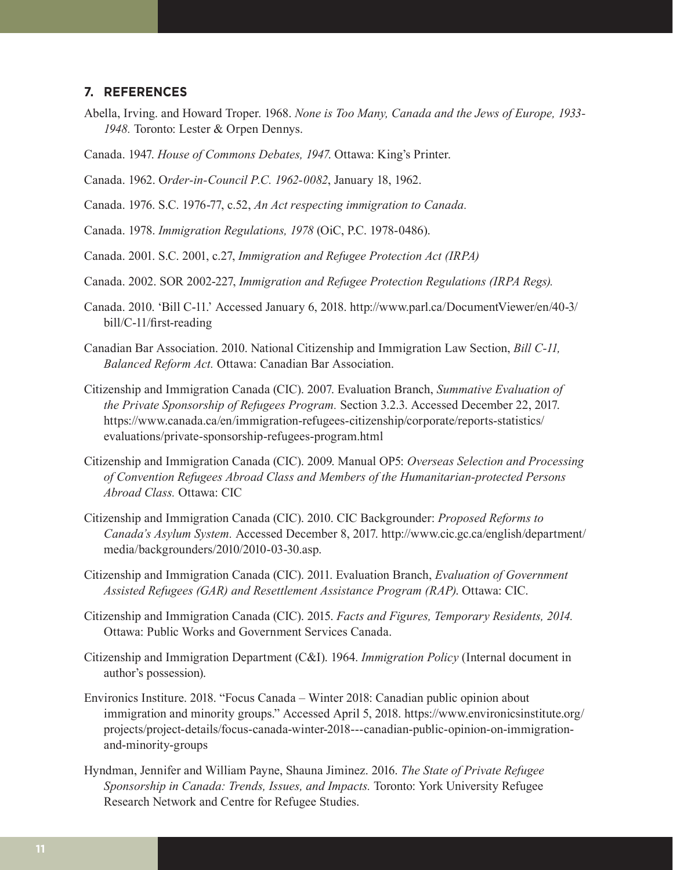#### **7. REFERENCES**

- Abella, Irving. and Howard Troper. 1968. *None is Too Many, Canada and the Jews of Europe, 1933- 1948.* Toronto: Lester & Orpen Dennys.
- Canada. 1947. *House of Commons Debates, 1947*. Ottawa: King's Printer.

Canada. 1962. O*rder-in-Council P.C. 1962-0082*, January 18, 1962.

Canada. 1976. S.C. 1976-77, c.52, *An Act respecting immigration to Canada.*

Canada. 1978. *Immigration Regulations, 1978* (OiC, P.C. 1978-0486).

Canada. 2001. S.C. 2001, c.27, *Immigration and Refugee Protection Act (IRPA)*

Canada. 2002. SOR 2002-227, *Immigration and Refugee Protection Regulations (IRPA Regs).*

- Canada. 2010. 'Bill C-11.' Accessed January 6, 2018. [http://www.parl.ca/DocumentViewer/en/40-3/](http://www.parl.ca/DocumentViewer/en/40-3/bill/C-11/first-reading) [bill/C-11/first-reading](http://www.parl.ca/DocumentViewer/en/40-3/bill/C-11/first-reading)
- Canadian Bar Association. 2010. National Citizenship and Immigration Law Section, *Bill C-11, Balanced Reform Act.* Ottawa: Canadian Bar Association.
- Citizenship and Immigration Canada (CIC). 2007. Evaluation Branch, *Summative Evaluation of the Private Sponsorship of Refugees Program.* Section 3.2.3. Accessed December 22, 2017. [https://www.canada.ca/en/immigration-refugees-citizenship/corporate/reports-statistics/](https://www.canada.ca/en/immigration-refugees-citizenship/corporate/reports-statistics/evaluations/private-sponsorship-refugees-program.html) [evaluations/private-sponsorship-refugees-program.html](https://www.canada.ca/en/immigration-refugees-citizenship/corporate/reports-statistics/evaluations/private-sponsorship-refugees-program.html)
- Citizenship and Immigration Canada (CIC). 2009. Manual OP5: *Overseas Selection and Processing of Convention Refugees Abroad Class and Members of the Humanitarian-protected Persons Abroad Class.* Ottawa: CIC
- Citizenship and Immigration Canada (CIC). 2010. CIC Backgrounder: *Proposed Reforms to Canada's Asylum System.* Accessed December 8, 2017. [http://www.cic.gc.ca/english/department/](http://www.cic.gc.ca/english/department/media/backgrounders/2010/2010-03-30.asp) [media/backgrounders/2010/2010-03-30.asp](http://www.cic.gc.ca/english/department/media/backgrounders/2010/2010-03-30.asp).
- Citizenship and Immigration Canada (CIC). 2011. Evaluation Branch, *Evaluation of Government Assisted Refugees (GAR) and Resettlement Assistance Program (RAP)*. Ottawa: CIC.
- Citizenship and Immigration Canada (CIC). 2015. *Facts and Figures, Temporary Residents, 2014.*  Ottawa: Public Works and Government Services Canada.
- Citizenship and Immigration Department (C&I). 1964. *Immigration Policy* (Internal document in author's possession).
- Environics Institure. 2018. "Focus Canada Winter 2018: Canadian public opinion about immigration and minority groups." Accessed April 5, 2018. [https://www.environicsinstitute.org/](https://www.environicsinstitute.org/projects/project-details/focus-canada-winter-2018---canadian-public-opinion-on-immigration-and-minority-groups) [projects/project-details/focus-canada-winter-2018---canadian-public-opinion-on-immigration](https://www.environicsinstitute.org/projects/project-details/focus-canada-winter-2018---canadian-public-opinion-on-immigration-and-minority-groups)[and-minority-groups](https://www.environicsinstitute.org/projects/project-details/focus-canada-winter-2018---canadian-public-opinion-on-immigration-and-minority-groups)
- Hyndman, Jennifer and William Payne, Shauna Jiminez. 2016. *The State of Private Refugee Sponsorship in Canada: Trends, Issues, and Impacts.* Toronto: York University Refugee Research Network and Centre for Refugee Studies.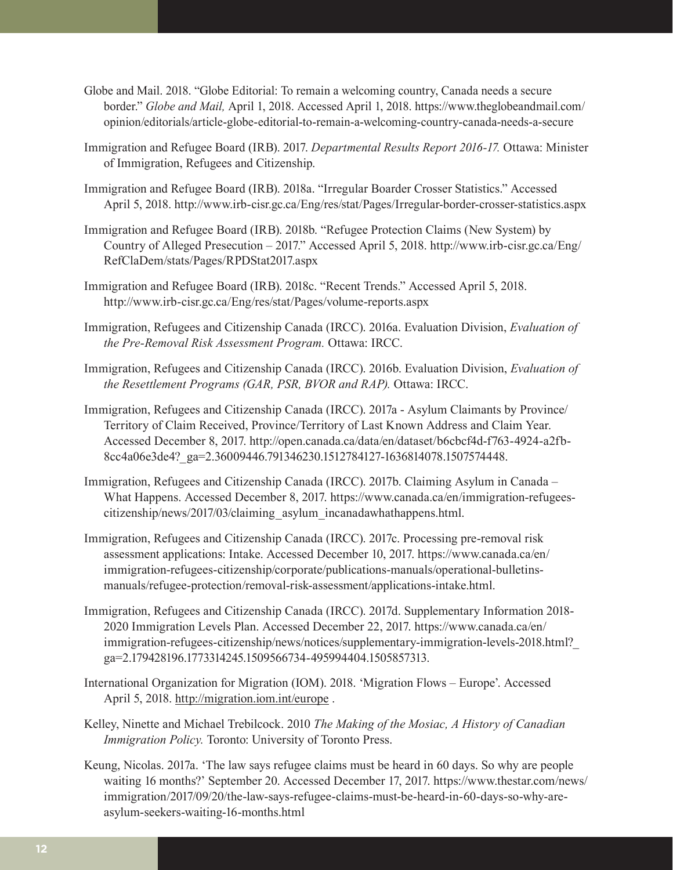- Globe and Mail. 2018. "Globe Editorial: To remain a welcoming country, Canada needs a secure border." *Globe and Mail,* April 1, 2018. Accessed April 1, 2018. [https://www.theglobeandmail.com/](https://www.theglobeandmail.com/opinion/editorials/article-globe-editorial-to-remain-a-welcoming-country-canada-needs-a-secure) [opinion/editorials/article-globe-editorial-to-remain-a-welcoming-country-canada-needs-a-secure](https://www.theglobeandmail.com/opinion/editorials/article-globe-editorial-to-remain-a-welcoming-country-canada-needs-a-secure)
- Immigration and Refugee Board (IRB). 2017. *Departmental Results Report 2016-17.* Ottawa: Minister of Immigration, Refugees and Citizenship.
- Immigration and Refugee Board (IRB). 2018a. "Irregular Boarder Crosser Statistics." Accessed April 5, 2018. <http://www.irb-cisr.gc.ca/Eng/res/stat/Pages/Irregular-border-crosser-statistics.aspx>
- Immigration and Refugee Board (IRB). 2018b. "Refugee Protection Claims (New System) by Country of Alleged Presecution – 2017." Accessed April 5, 2018. [http://www.irb-cisr.gc.ca/Eng/](http://www.irb-cisr.gc.ca/Eng/RefClaDem/stats/Pages/RPDStat2017.aspx) [RefClaDem/stats/Pages/RPDStat2017.aspx](http://www.irb-cisr.gc.ca/Eng/RefClaDem/stats/Pages/RPDStat2017.aspx)
- Immigration and Refugee Board (IRB). 2018c. "Recent Trends." Accessed April 5, 2018. <http://www.irb-cisr.gc.ca/Eng/res/stat/Pages/volume-reports.aspx>
- Immigration, Refugees and Citizenship Canada (IRCC). 2016a. Evaluation Division, *Evaluation of the Pre-Removal Risk Assessment Program.* Ottawa: IRCC.
- Immigration, Refugees and Citizenship Canada (IRCC). 2016b. Evaluation Division, *Evaluation of the Resettlement Programs (GAR, PSR, BVOR and RAP).* Ottawa: IRCC.
- Immigration, Refugees and Citizenship Canada (IRCC). 2017a Asylum Claimants by Province/ Territory of Claim Received, Province/Territory of Last Known Address and Claim Year. Accessed December 8, 2017. [http://open.canada.ca/data/en/dataset/b6cbcf4d-f763-4924-a2fb-](http://open.canada.ca/data/en/dataset/b6cbcf4d-f763-4924-a2fb-8cc4a06e3de4?_ga=2.36009446.791346230.1512784127-1636814078.1507574448)[8cc4a06e3de4?\\_ga=2.36009446.791346230.1512784127-1636814078.1507574448](http://open.canada.ca/data/en/dataset/b6cbcf4d-f763-4924-a2fb-8cc4a06e3de4?_ga=2.36009446.791346230.1512784127-1636814078.1507574448).
- Immigration, Refugees and Citizenship Canada (IRCC). 2017b. Claiming Asylum in Canada What Happens. Accessed December 8, 2017. [https://www.canada.ca/en/immigration-refugees](https://www.canada.ca/en/immigration-refugees-citizenship/news/2017/03/claiming_asylum_incanadawhathappens.html)[citizenship/news/2017/03/claiming\\_asylum\\_incanadawhathappens.html](https://www.canada.ca/en/immigration-refugees-citizenship/news/2017/03/claiming_asylum_incanadawhathappens.html).
- Immigration, Refugees and Citizenship Canada (IRCC). 2017c. Processing pre-removal risk assessment applications: Intake. Accessed December 10, 2017. [https://www.canada.ca/en/](https://www.canada.ca/en/immigration-refugees-citizenship/corporate/publications-manuals/operational-bulletins-manuals/refugee-protection/removal-risk-assessment/applications-intake.html) [immigration-refugees-citizenship/corporate/publications-manuals/operational-bulletins](https://www.canada.ca/en/immigration-refugees-citizenship/corporate/publications-manuals/operational-bulletins-manuals/refugee-protection/removal-risk-assessment/applications-intake.html)[manuals/refugee-protection/removal-risk-assessment/applications-intake.html](https://www.canada.ca/en/immigration-refugees-citizenship/corporate/publications-manuals/operational-bulletins-manuals/refugee-protection/removal-risk-assessment/applications-intake.html).
- Immigration, Refugees and Citizenship Canada (IRCC). 2017d. Supplementary Information 2018- 2020 Immigration Levels Plan. Accessed December 22, 2017. [https://www.canada.ca/en/](https://www.canada.ca/en/immigration-refugees-citizenship/news/notices/supplementary-immigration-levels-2018.html?_ga=2.179428196.1773314245.1509566734-495994404.1505857313) [immigration-refugees-citizenship/news/notices/supplementary-immigration-levels-2018.html?\\_](https://www.canada.ca/en/immigration-refugees-citizenship/news/notices/supplementary-immigration-levels-2018.html?_ga=2.179428196.1773314245.1509566734-495994404.1505857313) [ga=2.179428196.1773314245.1509566734-495994404.1505857313](https://www.canada.ca/en/immigration-refugees-citizenship/news/notices/supplementary-immigration-levels-2018.html?_ga=2.179428196.1773314245.1509566734-495994404.1505857313).
- International Organization for Migration (IOM). 2018. 'Migration Flows Europe'. Accessed April 5, 2018. http://migration.iom.int/europe.
- Kelley, Ninette and Michael Trebilcock. 2010 *The Making of the Mosiac, A History of Canadian Immigration Policy.* Toronto: University of Toronto Press.
- Keung, Nicolas. 2017a. 'The law says refugee claims must be heard in 60 days. So why are people waiting 16 months?' September 20. Accessed December 17, 2017. [https://www.thestar.com/news/](https://www.thestar.com/news/immigration/2017/09/20/the-law-says-refugee-claims-must-be-heard-in-60-days-so-why-are-asylum-seekers-waiting-16-months.html) [immigration/2017/09/20/the-law-says-refugee-claims-must-be-heard-in-60-days-so-why-are](https://www.thestar.com/news/immigration/2017/09/20/the-law-says-refugee-claims-must-be-heard-in-60-days-so-why-are-asylum-seekers-waiting-16-months.html)[asylum-seekers-waiting-16-months.html](https://www.thestar.com/news/immigration/2017/09/20/the-law-says-refugee-claims-must-be-heard-in-60-days-so-why-are-asylum-seekers-waiting-16-months.html)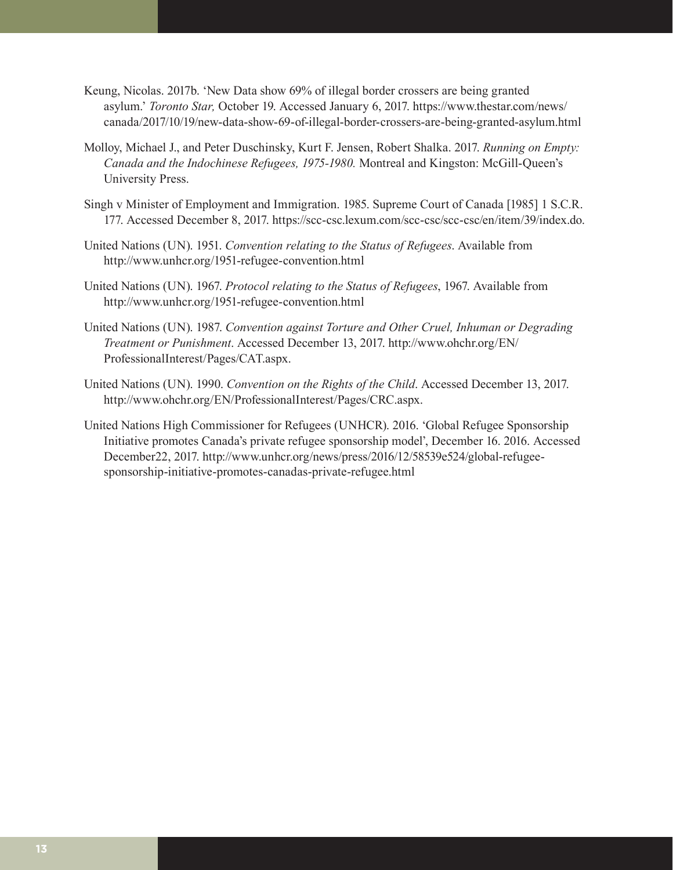- Keung, Nicolas. 2017b. 'New Data show 69% of illegal border crossers are being granted asylum.' *Toronto Star,* October 19. Accessed January 6, 2017. [https://www.thestar.com/news/](https://www.thestar.com/news/canada/2017/10/19/new-data-show-69-of-illegal-border-crossers-are-being-granted-asylum.html) [canada/2017/10/19/new-data-show-69-of-illegal-border-crossers-are-being-granted-asylum.html](https://www.thestar.com/news/canada/2017/10/19/new-data-show-69-of-illegal-border-crossers-are-being-granted-asylum.html)
- Molloy, Michael J., and Peter Duschinsky, Kurt F. Jensen, Robert Shalka. 2017. *Running on Empty: Canada and the Indochinese Refugees, 1975-1980.* Montreal and Kingston: McGill-Queen's University Press.
- Singh v Minister of Employment and Immigration. 1985. Supreme Court of Canada [1985] 1 S.C.R. 177. Accessed December 8, 2017. <https://scc-csc.lexum.com/scc-csc/scc-csc/en/item/39/index.do>.
- United Nations (UN). 1951. *Convention relating to the Status of Refugees*. Available from <http://www.unhcr.org/1951-refugee-convention.html>
- United Nations (UN). 1967. *Protocol relating to the Status of Refugees*, 1967. Available from <http://www.unhcr.org/1951-refugee-convention.html>
- United Nations (UN). 1987. *Convention against Torture and Other Cruel, Inhuman or Degrading Treatment or Punishment*. Accessed December 13, 2017. [http://www.ohchr.org/EN/](http://www.ohchr.org/EN/ProfessionalInterest/Pages/CAT.aspx) [ProfessionalInterest/Pages/CAT.aspx](http://www.ohchr.org/EN/ProfessionalInterest/Pages/CAT.aspx).
- United Nations (UN). 1990. *Convention on the Rights of the Child*. Accessed December 13, 2017. <http://www.ohchr.org/EN/ProfessionalInterest/Pages/CRC.aspx>.
- United Nations High Commissioner for Refugees (UNHCR). 2016. 'Global Refugee Sponsorship Initiative promotes Canada's private refugee sponsorship model', December 16. 2016. Accessed December22, 2017. [http://www.unhcr.org/news/press/2016/12/58539e524/global-refugee](http://www.unhcr.org/news/press/2016/12/58539e524/global-refugee-sponsorship-initiative-promotes-canadas-private-refugee.html)[sponsorship-initiative-promotes-canadas-private-refugee.html](http://www.unhcr.org/news/press/2016/12/58539e524/global-refugee-sponsorship-initiative-promotes-canadas-private-refugee.html)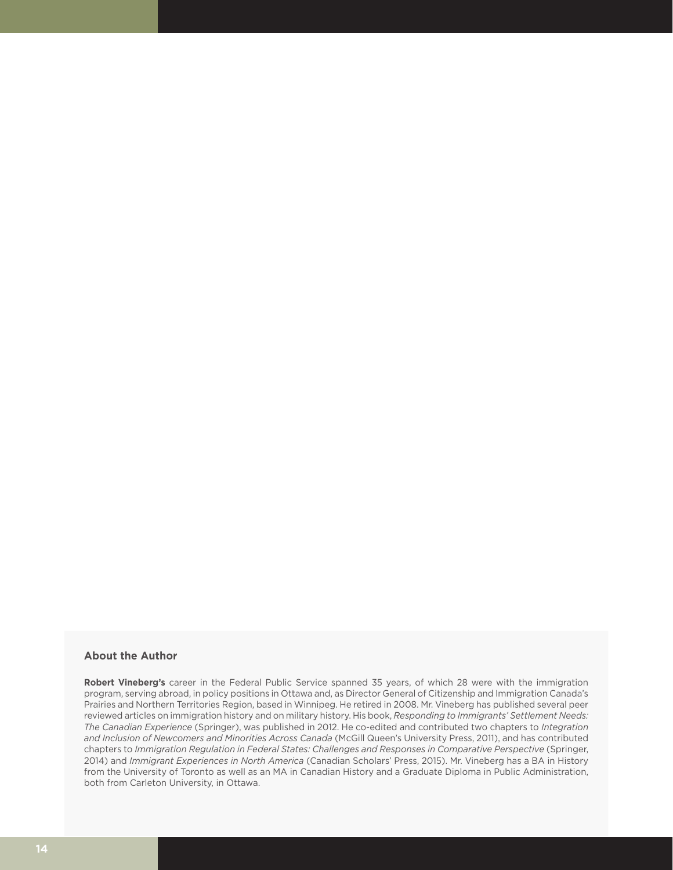#### **About the Author**

**Robert Vineberg's** career in the Federal Public Service spanned 35 years, of which 28 were with the immigration program, serving abroad, in policy positions in Ottawa and, as Director General of Citizenship and Immigration Canada's Prairies and Northern Territories Region, based in Winnipeg. He retired in 2008. Mr. Vineberg has published several peer reviewed articles on immigration history and on military history. His book, *Responding to Immigrants' Settlement Needs: The Canadian Experience* (Springer), was published in 2012. He co-edited and contributed two chapters to *Integration and Inclusion of Newcomers and Minorities Across Canada* (McGill Queen's University Press, 2011), and has contributed chapters to *Immigration Regulation in Federal States: Challenges and Responses in Comparative Perspective* (Springer, 2014) and *Immigrant Experiences in North America* (Canadian Scholars' Press, 2015). Mr. Vineberg has a BA in History from the University of Toronto as well as an MA in Canadian History and a Graduate Diploma in Public Administration, both from Carleton University, in Ottawa.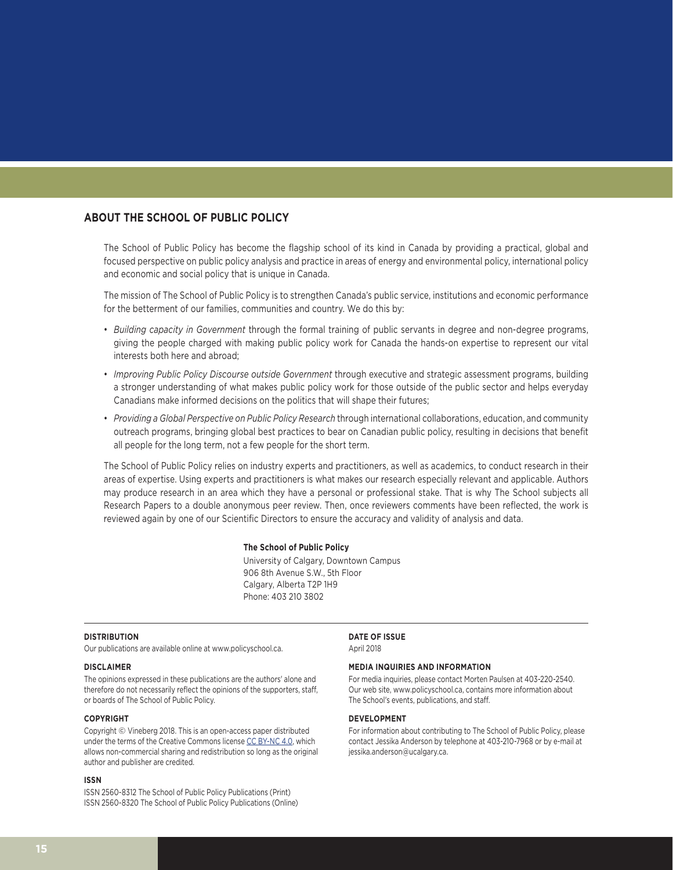#### **ABOUT THE SCHOOL OF PUBLIC POLICY**

The School of Public Policy has become the flagship school of its kind in Canada by providing a practical, global and focused perspective on public policy analysis and practice in areas of energy and environmental policy, international policy and economic and social policy that is unique in Canada.

The mission of The School of Public Policy is to strengthen Canada's public service, institutions and economic performance for the betterment of our families, communities and country. We do this by:

- *Building capacity in Government* through the formal training of public servants in degree and non-degree programs, giving the people charged with making public policy work for Canada the hands-on expertise to represent our vital interests both here and abroad;
- *Improving Public Policy Discourse outside Government* through executive and strategic assessment programs, building a stronger understanding of what makes public policy work for those outside of the public sector and helps everyday Canadians make informed decisions on the politics that will shape their futures;
- *Providing a Global Perspective on Public Policy Research* through international collaborations, education, and community outreach programs, bringing global best practices to bear on Canadian public policy, resulting in decisions that benefit all people for the long term, not a few people for the short term.

The School of Public Policy relies on industry experts and practitioners, as well as academics, to conduct research in their areas of expertise. Using experts and practitioners is what makes our research especially relevant and applicable. Authors may produce research in an area which they have a personal or professional stake. That is why The School subjects all Research Papers to a double anonymous peer review. Then, once reviewers comments have been reflected, the work is reviewed again by one of our Scientific Directors to ensure the accuracy and validity of analysis and data.

#### **The School of Public Policy**

University of Calgary, Downtown Campus 906 8th Avenue S.W., 5th Floor Calgary, Alberta T2P 1H9 Phone: 403 210 3802

#### **DISTRIBUTION**

Our publications are available online at www.policyschool.ca.

#### **DISCLAIMER**

The opinions expressed in these publications are the authors' alone and therefore do not necessarily reflect the opinions of the supporters, staff, or boards of The School of Public Policy.

#### **COPYRIGHT**

Copyright © Vineberg 2018. This is an open-access paper distributed under the terms of the Creative Commons license [CC BY-NC 4.0](https://creativecommons.org/licenses/by-nc/4.0/), which allows non-commercial sharing and redistribution so long as the original author and publisher are credited.

#### **ISSN**

ISSN 2560-8312 The School of Public Policy Publications (Print) ISSN 2560-8320 The School of Public Policy Publications (Online) **DATE OF ISSUE** April 2018

#### **MEDIA INQUIRIES AND INFORMATION**

For media inquiries, please contact Morten Paulsen at 403-220-2540. Our web site, www.policyschool.ca, contains more information about The School's events, publications, and staff.

#### **DEVELOPMENT**

For information about contributing to The School of Public Policy, please contact Jessika Anderson by telephone at 403-210-7968 or by e-mail at jessika.anderson@ucalgary.ca.